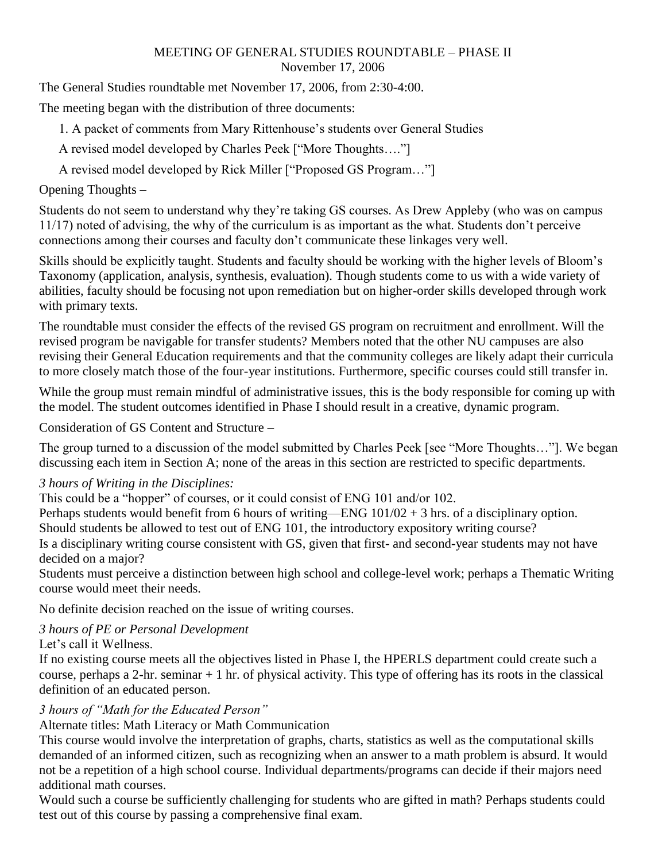#### MEETING OF GENERAL STUDIES ROUNDTABLE – PHASE II November 17, 2006

The General Studies roundtable met November 17, 2006, from 2:30-4:00.

The meeting began with the distribution of three documents:

1. A packet of comments from Mary Rittenhouse's students over General Studies

A revised model developed by Charles Peek ["More Thoughts…."]

A revised model developed by Rick Miller ["Proposed GS Program…"]

## Opening Thoughts –

Students do not seem to understand why they're taking GS courses. As Drew Appleby (who was on campus 11/17) noted of advising, the why of the curriculum is as important as the what. Students don't perceive connections among their courses and faculty don't communicate these linkages very well.

Skills should be explicitly taught. Students and faculty should be working with the higher levels of Bloom's Taxonomy (application, analysis, synthesis, evaluation). Though students come to us with a wide variety of abilities, faculty should be focusing not upon remediation but on higher-order skills developed through work with primary texts.

The roundtable must consider the effects of the revised GS program on recruitment and enrollment. Will the revised program be navigable for transfer students? Members noted that the other NU campuses are also revising their General Education requirements and that the community colleges are likely adapt their curricula to more closely match those of the four-year institutions. Furthermore, specific courses could still transfer in.

While the group must remain mindful of administrative issues, this is the body responsible for coming up with the model. The student outcomes identified in Phase I should result in a creative, dynamic program.

Consideration of GS Content and Structure –

The group turned to a discussion of the model submitted by Charles Peek [see "More Thoughts…"]. We began discussing each item in Section A; none of the areas in this section are restricted to specific departments.

### *3 hours of Writing in the Disciplines:*

This could be a "hopper" of courses, or it could consist of ENG 101 and/or 102.

Perhaps students would benefit from 6 hours of writing—ENG 101/02 + 3 hrs. of a disciplinary option.

Should students be allowed to test out of ENG 101, the introductory expository writing course?

Is a disciplinary writing course consistent with GS, given that first- and second-year students may not have decided on a major?

Students must perceive a distinction between high school and college-level work; perhaps a Thematic Writing course would meet their needs.

No definite decision reached on the issue of writing courses.

# *3 hours of PE or Personal Development*

### Let's call it Wellness.

If no existing course meets all the objectives listed in Phase I, the HPERLS department could create such a course, perhaps a 2-hr. seminar + 1 hr. of physical activity. This type of offering has its roots in the classical definition of an educated person.

### *3 hours of "Math for the Educated Person"*

Alternate titles: Math Literacy or Math Communication

This course would involve the interpretation of graphs, charts, statistics as well as the computational skills demanded of an informed citizen, such as recognizing when an answer to a math problem is absurd. It would not be a repetition of a high school course. Individual departments/programs can decide if their majors need additional math courses.

Would such a course be sufficiently challenging for students who are gifted in math? Perhaps students could test out of this course by passing a comprehensive final exam.